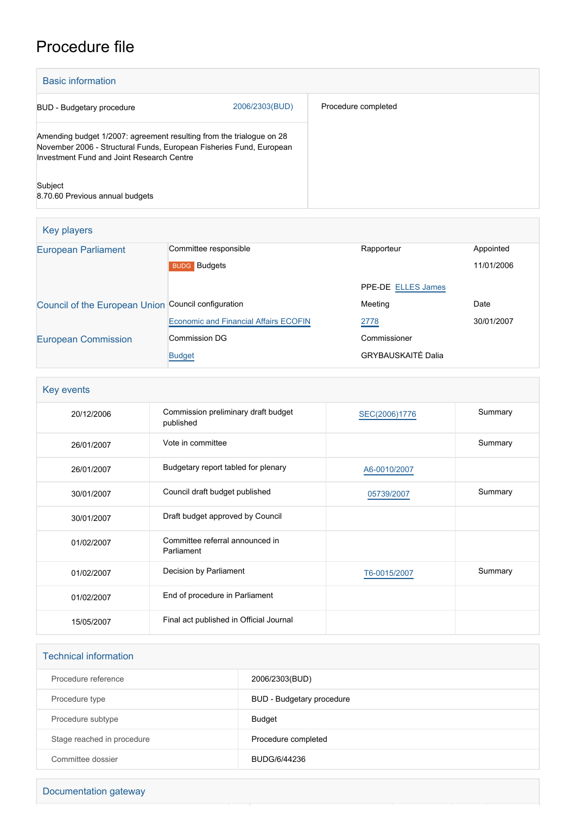# Procedure file

| <b>Basic information</b>                                                                                                                                                                 |                |                     |  |
|------------------------------------------------------------------------------------------------------------------------------------------------------------------------------------------|----------------|---------------------|--|
| BUD - Budgetary procedure                                                                                                                                                                | 2006/2303(BUD) | Procedure completed |  |
| Amending budget 1/2007: agreement resulting from the trialogue on 28<br>November 2006 - Structural Funds, European Fisheries Fund, European<br>Investment Fund and Joint Research Centre |                |                     |  |
| Subject<br>8.70.60 Previous annual budgets                                                                                                                                               |                |                     |  |

| Key players                                         |                                              |                           |            |  |
|-----------------------------------------------------|----------------------------------------------|---------------------------|------------|--|
| <b>European Parliament</b>                          | Committee responsible                        | Rapporteur                | Appointed  |  |
|                                                     | <b>BUDG</b> Budgets                          |                           | 11/01/2006 |  |
|                                                     |                                              | <b>PPE-DE ELLES James</b> |            |  |
| Council of the European Union Council configuration |                                              | Meeting                   | Date       |  |
|                                                     | <b>Economic and Financial Affairs ECOFIN</b> | 2778                      | 30/01/2007 |  |
| <b>European Commission</b>                          | Commission DG                                | Commissioner              |            |  |
|                                                     | <b>Budget</b>                                | <b>GRYBAUSKAITĖ Dalia</b> |            |  |

| Key events |                                                  |               |         |  |
|------------|--------------------------------------------------|---------------|---------|--|
| 20/12/2006 | Commission preliminary draft budget<br>published | SEC(2006)1776 | Summary |  |
| 26/01/2007 | Vote in committee                                |               | Summary |  |
| 26/01/2007 | Budgetary report tabled for plenary              | A6-0010/2007  |         |  |
| 30/01/2007 | Council draft budget published                   | 05739/2007    | Summary |  |
| 30/01/2007 | Draft budget approved by Council                 |               |         |  |
| 01/02/2007 | Committee referral announced in<br>Parliament    |               |         |  |
| 01/02/2007 | Decision by Parliament                           | T6-0015/2007  | Summary |  |
| 01/02/2007 | End of procedure in Parliament                   |               |         |  |
| 15/05/2007 | Final act published in Official Journal          |               |         |  |

| <b>Technical information</b> |                           |  |  |
|------------------------------|---------------------------|--|--|
| Procedure reference          | 2006/2303(BUD)            |  |  |
| Procedure type               | BUD - Budgetary procedure |  |  |
| Procedure subtype            | Budget                    |  |  |
| Stage reached in procedure   | Procedure completed       |  |  |
| Committee dossier            | BUDG/6/44236              |  |  |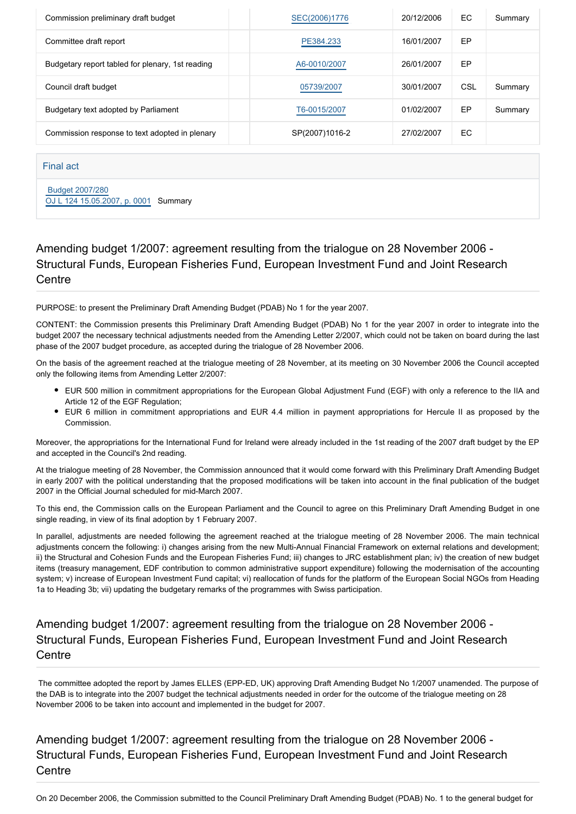| Commission preliminary draft budget              | SEC(2006)1776  | 20/12/2006 | EC. | Summary |
|--------------------------------------------------|----------------|------------|-----|---------|
| Committee draft report                           | PE384.233      | 16/01/2007 | EP  |         |
| Budgetary report tabled for plenary, 1st reading | A6-0010/2007   | 26/01/2007 | EP  |         |
| Council draft budget                             | 05739/2007     | 30/01/2007 | CSL | Summary |
| Budgetary text adopted by Parliament             | T6-0015/2007   | 01/02/2007 | EP  | Summary |
| Commission response to text adopted in plenary   | SP(2007)1016-2 | 27/02/2007 | EC. |         |

#### Final act

 [Budget 2007/280](https://www.europarl.europa.eu/doceo/document/B-2-80-07B0_EN.html) [OJ L 124 15.05.2007, p. 0001](https://eur-lex.europa.eu/JOHtml.do?uri=OJ:L:2007:124:SOM:EN:HTML) Summary

## Amending budget 1/2007: agreement resulting from the trialogue on 28 November 2006 - Structural Funds, European Fisheries Fund, European Investment Fund and Joint Research **Centre**

PURPOSE: to present the Preliminary Draft Amending Budget (PDAB) No 1 for the year 2007.

CONTENT: the Commission presents this Preliminary Draft Amending Budget (PDAB) No 1 for the year 2007 in order to integrate into the budget 2007 the necessary technical adjustments needed from the Amending Letter 2/2007, which could not be taken on board during the last phase of the 2007 budget procedure, as accepted during the trialogue of 28 November 2006.

On the basis of the agreement reached at the trialogue meeting of 28 November, at its meeting on 30 November 2006 the Council accepted only the following items from Amending Letter 2/2007:

- EUR 500 million in commitment appropriations for the European Global Adjustment Fund (EGF) with only a reference to the IIA and Article 12 of the EGF Regulation;
- EUR 6 million in commitment appropriations and EUR 4.4 million in payment appropriations for Hercule II as proposed by the Commission.

Moreover, the appropriations for the International Fund for Ireland were already included in the 1st reading of the 2007 draft budget by the EP and accepted in the Council's 2nd reading.

At the trialogue meeting of 28 November, the Commission announced that it would come forward with this Preliminary Draft Amending Budget in early 2007 with the political understanding that the proposed modifications will be taken into account in the final publication of the budget 2007 in the Official Journal scheduled for mid-March 2007.

To this end, the Commission calls on the European Parliament and the Council to agree on this Preliminary Draft Amending Budget in one single reading, in view of its final adoption by 1 February 2007.

In parallel, adjustments are needed following the agreement reached at the trialogue meeting of 28 November 2006. The main technical adjustments concern the following: i) changes arising from the new Multi-Annual Financial Framework on external relations and development; ii) the Structural and Cohesion Funds and the European Fisheries Fund; iii) changes to JRC establishment plan; iv) the creation of new budget items (treasury management, EDF contribution to common administrative support expenditure) following the modernisation of the accounting system; v) increase of European Investment Fund capital; vi) reallocation of funds for the platform of the European Social NGOs from Heading 1a to Heading 3b; vii) updating the budgetary remarks of the programmes with Swiss participation.

## Amending budget 1/2007: agreement resulting from the trialogue on 28 November 2006 - Structural Funds, European Fisheries Fund, European Investment Fund and Joint Research **Centre**

 The committee adopted the report by James ELLES (EPP-ED, UK) approving Draft Amending Budget No 1/2007 unamended. The purpose of the DAB is to integrate into the 2007 budget the technical adjustments needed in order for the outcome of the trialogue meeting on 28 November 2006 to be taken into account and implemented in the budget for 2007.

Amending budget 1/2007: agreement resulting from the trialogue on 28 November 2006 - Structural Funds, European Fisheries Fund, European Investment Fund and Joint Research **Centre**